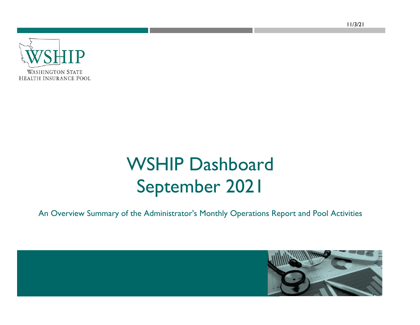**WASHINGTON STATE HEALTH INSURANCE POOL** 

# WSHIP Dashboard September 2021

An Overview Summary of the Administrator's Monthly Operations Report and Pool Activities

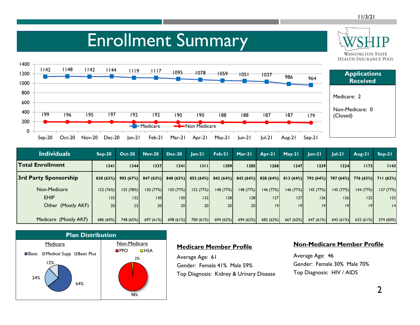**WASHINGTON STATE** 

### Enrollment Summary



| <b>Individuals</b>      | $Sep-20$        | $Oct-20$               | <b>Nov-20</b>   | <b>Dec-20</b> | $Jan-21$             | Feb-21          | Mar-21               | Apr-21    | $May-21$  | $ un-2 $             | $Jul-21$ | Aug-21    | $Sep-21$                      |
|-------------------------|-----------------|------------------------|-----------------|---------------|----------------------|-----------------|----------------------|-----------|-----------|----------------------|----------|-----------|-------------------------------|
| <b>Total Enrollment</b> | 1341            | 1344                   | 1337            | 1341          | 1311                 | 1309            | 1285                 | 1268      | 1247      | 1239                 | 1224     | 1173      | 1143                          |
| 3rd Party Sponsorship   |                 | $ 838(63%) $ 903 (67%) | 847(63%)        |               | $848(63%)$ 852 (64%) |                 | $842(64%)$ 842 (64%) | 828(64%)  |           | $813(64%)$ 792 (64%) |          |           | 787 (64%) 776 (63%) 711 (62%) |
| Non-Medicare            | 152(76%)        | 155 (78%)              | 150(77%)        | 150(77%)      | 152(77%)             | 148(77%)        | 148(77%)             | 146 (77%) | 146(77%)  | 145(77%)             | 145(77%) | 144 (77%) | 137 (77%)                     |
| <b>EHIP</b>             | 32              | 132                    | 130             | 30            | 32                   | 128             | 128                  | 127       | 127       | 126                  | 126      | 25        | 123                           |
| Other (Mostly AKF)      | 20 <sup>1</sup> | 23                     | 20 <sup>1</sup> | 20            | 20 <sup>1</sup>      | 20 <sub>l</sub> | 20                   | 9         | 9         | 9                    | 19       | 9         | 4                             |
|                         |                 |                        |                 |               |                      |                 |                      |           |           |                      |          |           |                               |
| Medicare (Mostly AKF)   | 686 (60%)       | 748 (65%)              | 697(61%)        | 698(61%)      | 700 (61%)            | 694(62%)        | 694(62%)             | 682(62%)  | 667 (62%) | 647(61%)             | 642(61%) | 632(61%)  | 574 (60%)                     |



#### **Medicare Member Profile**

Average Age: 61 Gender: Female 41% Male 59%Top Diagnosis: Kidney & Urinary Disease

#### **Non-Medicare Member Profile**

Average Age: 46 Gender: Female 30% Male 70%Top Diagnosis: HIV / AIDS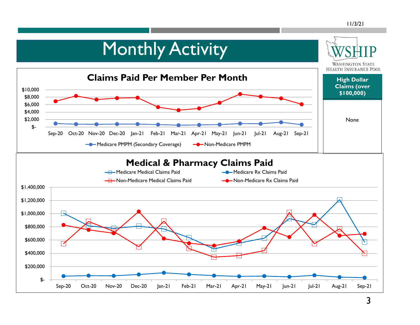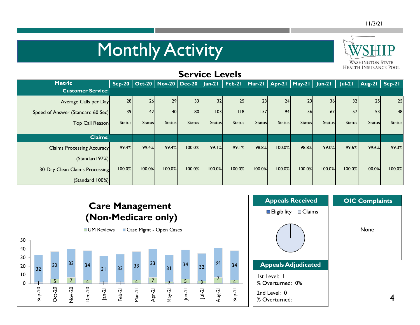# Monthly Activity



### **Service Levels**

| <b>Metric</b>                     |               |               |               | Sep-20   Oct-20   Nov-20   Dec-20   Jan-21   Feb-21   Mar-21   Apr-21   May-21   Jun-21   Jul-21 |               |               |               |               |               |               |               | $\sqrt{$ Aug-21   Sep-21 |               |
|-----------------------------------|---------------|---------------|---------------|--------------------------------------------------------------------------------------------------|---------------|---------------|---------------|---------------|---------------|---------------|---------------|--------------------------|---------------|
| <b>Customer Service:</b>          |               |               |               |                                                                                                  |               |               |               |               |               |               |               |                          |               |
| Average Calls per Day             | 28            | 26            | 29            | 33                                                                                               | 32            | 25            | 23            | 24            | 23            | 36            | 32            | 25                       | 25            |
| Speed of Answer (Standard 60 Sec) | 39            | 42            | 40            | 80                                                                                               | 103           | $ $ $ $ 8     | 157           | 94            | 56            | 67            | 57            | 53                       | 48            |
| Top Call Reason                   | <b>Status</b> | <b>Status</b> | <b>Status</b> | <b>Status</b>                                                                                    | <b>Status</b> | <b>Status</b> | <b>Status</b> | <b>Status</b> | <b>Status</b> | <b>Status</b> | <b>Status</b> | <b>Status</b>            | <b>Status</b> |
|                                   |               |               |               |                                                                                                  |               |               |               |               |               |               |               |                          |               |
| <b>Claims:</b>                    |               |               |               |                                                                                                  |               |               |               |               |               |               |               |                          |               |
| <b>Claims Processing Accuracy</b> | 99.4%         | 99.4%         | 99.4%         | 100.0%                                                                                           | 99.1%         | 99.1%         | 98.8%         | 100.0%        | 98.8%         | 99.0%         | 99.6%         | 99.6%                    | 99.3%         |
| (Standard 97%)                    |               |               |               |                                                                                                  |               |               |               |               |               |               |               |                          |               |
| 30-Day Clean Claims Processing    | 100.0%        | 100.0%        | 100.0%        | 100.0%                                                                                           | 100.0%        | 100.0%        | 100.0%        | 100.0%        | 100.0%        | 100.0%        | 100.0%        | 100.0%                   | 100.0%        |
| (Standard 100%)                   |               |               |               |                                                                                                  |               |               |               |               |               |               |               |                          |               |